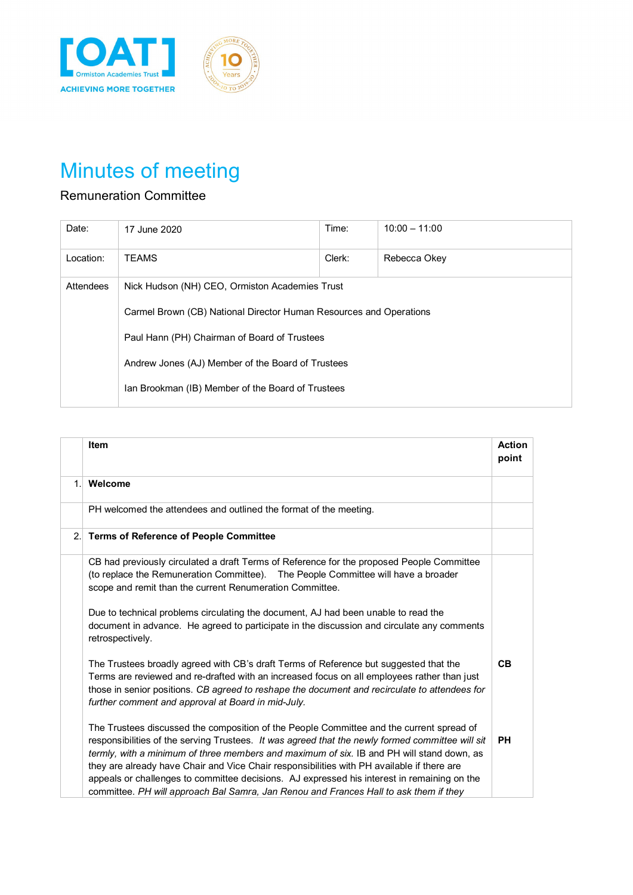

## Minutes of meeting

## Remuneration Committee

| Date:     | 17 June 2020                                                       | Time:  | $10:00 - 11:00$ |  |
|-----------|--------------------------------------------------------------------|--------|-----------------|--|
| Location: | <b>TEAMS</b>                                                       | Clerk: | Rebecca Okey    |  |
| Attendees | Nick Hudson (NH) CEO, Ormiston Academies Trust                     |        |                 |  |
|           | Carmel Brown (CB) National Director Human Resources and Operations |        |                 |  |
|           | Paul Hann (PH) Chairman of Board of Trustees                       |        |                 |  |
|           | Andrew Jones (AJ) Member of the Board of Trustees                  |        |                 |  |
|           | Ian Brookman (IB) Member of the Board of Trustees                  |        |                 |  |

|    | <b>Item</b>                                                                                                                                                                                                                                                                                                                                                                                                                                                                                                                                                                     | <b>Action</b><br>point |
|----|---------------------------------------------------------------------------------------------------------------------------------------------------------------------------------------------------------------------------------------------------------------------------------------------------------------------------------------------------------------------------------------------------------------------------------------------------------------------------------------------------------------------------------------------------------------------------------|------------------------|
| 1. | Welcome                                                                                                                                                                                                                                                                                                                                                                                                                                                                                                                                                                         |                        |
|    | PH welcomed the attendees and outlined the format of the meeting.                                                                                                                                                                                                                                                                                                                                                                                                                                                                                                               |                        |
| 2. | <b>Terms of Reference of People Committee</b>                                                                                                                                                                                                                                                                                                                                                                                                                                                                                                                                   |                        |
|    | CB had previously circulated a draft Terms of Reference for the proposed People Committee<br>(to replace the Remuneration Committee). The People Committee will have a broader<br>scope and remit than the current Renumeration Committee.                                                                                                                                                                                                                                                                                                                                      |                        |
|    | Due to technical problems circulating the document, AJ had been unable to read the<br>document in advance. He agreed to participate in the discussion and circulate any comments<br>retrospectively.                                                                                                                                                                                                                                                                                                                                                                            |                        |
|    | The Trustees broadly agreed with CB's draft Terms of Reference but suggested that the<br>Terms are reviewed and re-drafted with an increased focus on all employees rather than just<br>those in senior positions. CB agreed to reshape the document and recirculate to attendees for<br>further comment and approval at Board in mid-July.                                                                                                                                                                                                                                     | CB                     |
|    | The Trustees discussed the composition of the People Committee and the current spread of<br>responsibilities of the serving Trustees. It was agreed that the newly formed committee will sit<br>termly, with a minimum of three members and maximum of six. IB and PH will stand down, as<br>they are already have Chair and Vice Chair responsibilities with PH available if there are<br>appeals or challenges to committee decisions. AJ expressed his interest in remaining on the<br>committee. PH will approach Bal Samra, Jan Renou and Frances Hall to ask them if they | <b>PH</b>              |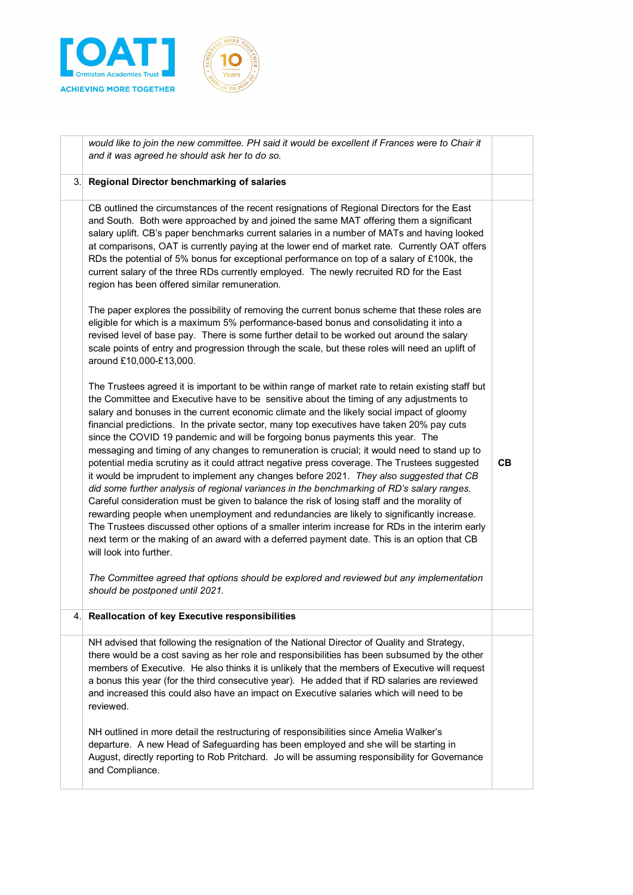



|     | would like to join the new committee. PH said it would be excellent if Frances were to Chair it<br>and it was agreed he should ask her to do so.                                                                                                                                                                                                                                                                                                                                                                                                                                                                                                                                                                                                                                                                                                                                                                                                                                                                                                                                                                                                                                                                                                                                            |    |
|-----|---------------------------------------------------------------------------------------------------------------------------------------------------------------------------------------------------------------------------------------------------------------------------------------------------------------------------------------------------------------------------------------------------------------------------------------------------------------------------------------------------------------------------------------------------------------------------------------------------------------------------------------------------------------------------------------------------------------------------------------------------------------------------------------------------------------------------------------------------------------------------------------------------------------------------------------------------------------------------------------------------------------------------------------------------------------------------------------------------------------------------------------------------------------------------------------------------------------------------------------------------------------------------------------------|----|
| 3.1 | Regional Director benchmarking of salaries                                                                                                                                                                                                                                                                                                                                                                                                                                                                                                                                                                                                                                                                                                                                                                                                                                                                                                                                                                                                                                                                                                                                                                                                                                                  |    |
|     | CB outlined the circumstances of the recent resignations of Regional Directors for the East<br>and South. Both were approached by and joined the same MAT offering them a significant<br>salary uplift. CB's paper benchmarks current salaries in a number of MATs and having looked<br>at comparisons, OAT is currently paying at the lower end of market rate. Currently OAT offers<br>RDs the potential of 5% bonus for exceptional performance on top of a salary of £100k, the<br>current salary of the three RDs currently employed. The newly recruited RD for the East<br>region has been offered similar remuneration.                                                                                                                                                                                                                                                                                                                                                                                                                                                                                                                                                                                                                                                             |    |
|     | The paper explores the possibility of removing the current bonus scheme that these roles are<br>eligible for which is a maximum 5% performance-based bonus and consolidating it into a<br>revised level of base pay. There is some further detail to be worked out around the salary<br>scale points of entry and progression through the scale, but these roles will need an uplift of<br>around £10,000-£13,000.                                                                                                                                                                                                                                                                                                                                                                                                                                                                                                                                                                                                                                                                                                                                                                                                                                                                          |    |
|     | The Trustees agreed it is important to be within range of market rate to retain existing staff but<br>the Committee and Executive have to be sensitive about the timing of any adjustments to<br>salary and bonuses in the current economic climate and the likely social impact of gloomy<br>financial predictions. In the private sector, many top executives have taken 20% pay cuts<br>since the COVID 19 pandemic and will be forgoing bonus payments this year. The<br>messaging and timing of any changes to remuneration is crucial; it would need to stand up to<br>potential media scrutiny as it could attract negative press coverage. The Trustees suggested<br>it would be imprudent to implement any changes before 2021. They also suggested that CB<br>did some further analysis of regional variances in the benchmarking of RD's salary ranges.<br>Careful consideration must be given to balance the risk of losing staff and the morality of<br>rewarding people when unemployment and redundancies are likely to significantly increase.<br>The Trustees discussed other options of a smaller interim increase for RDs in the interim early<br>next term or the making of an award with a deferred payment date. This is an option that CB<br>will look into further. | CВ |
|     | The Committee agreed that options should be explored and reviewed but any implementation<br>should be postponed until 2021.                                                                                                                                                                                                                                                                                                                                                                                                                                                                                                                                                                                                                                                                                                                                                                                                                                                                                                                                                                                                                                                                                                                                                                 |    |
| 4.  | Reallocation of key Executive responsibilities                                                                                                                                                                                                                                                                                                                                                                                                                                                                                                                                                                                                                                                                                                                                                                                                                                                                                                                                                                                                                                                                                                                                                                                                                                              |    |
|     | NH advised that following the resignation of the National Director of Quality and Strategy,<br>there would be a cost saving as her role and responsibilities has been subsumed by the other<br>members of Executive. He also thinks it is unlikely that the members of Executive will request<br>a bonus this year (for the third consecutive year). He added that if RD salaries are reviewed<br>and increased this could also have an impact on Executive salaries which will need to be<br>reviewed.<br>NH outlined in more detail the restructuring of responsibilities since Amelia Walker's                                                                                                                                                                                                                                                                                                                                                                                                                                                                                                                                                                                                                                                                                           |    |
|     | departure. A new Head of Safeguarding has been employed and she will be starting in<br>August, directly reporting to Rob Pritchard. Jo will be assuming responsibility for Governance<br>and Compliance.                                                                                                                                                                                                                                                                                                                                                                                                                                                                                                                                                                                                                                                                                                                                                                                                                                                                                                                                                                                                                                                                                    |    |